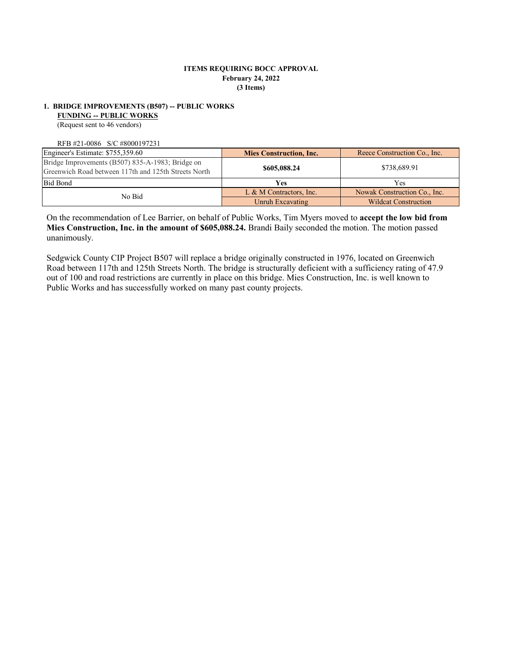#### **ITEMS REQUIRING BOCC APPROVAL February 24, 2022 (3 Items)**

## **1. BRIDGE IMPROVEMENTS (B507) -- PUBLIC WORKS**

**FUNDING -- PUBLIC WORKS**

(Request sent to 46 vendors)

RFB #21-0086 S/C #8000197231

| Engineer's Estimate: \$755,359.60                                                                        | <b>Mies Construction, Inc.</b> | Reece Construction Co., Inc. |  |
|----------------------------------------------------------------------------------------------------------|--------------------------------|------------------------------|--|
| Bridge Improvements (B507) 835-A-1983; Bridge on<br>Greenwich Road between 117th and 125th Streets North | \$605,088.24                   | \$738,689.91                 |  |
| <b>Bid Bond</b>                                                                                          | <b>Yes</b>                     | Yes                          |  |
| No Bid                                                                                                   | L & M Contractors, Inc.        | Nowak Construction Co., Inc. |  |
|                                                                                                          | Unruh Excavating               | <b>Wildcat Construction</b>  |  |

On the recommendation of Lee Barrier, on behalf of Public Works, Tim Myers moved to **accept the low bid from Mies Construction, Inc. in the amount of \$605,088.24.** Brandi Baily seconded the motion. The motion passed unanimously.

Sedgwick County CIP Project B507 will replace a bridge originally constructed in 1976, located on Greenwich Road between 117th and 125th Streets North. The bridge is structurally deficient with a sufficiency rating of 47.9 out of 100 and road restrictions are currently in place on this bridge. Mies Construction, Inc. is well known to Public Works and has successfully worked on many past county projects.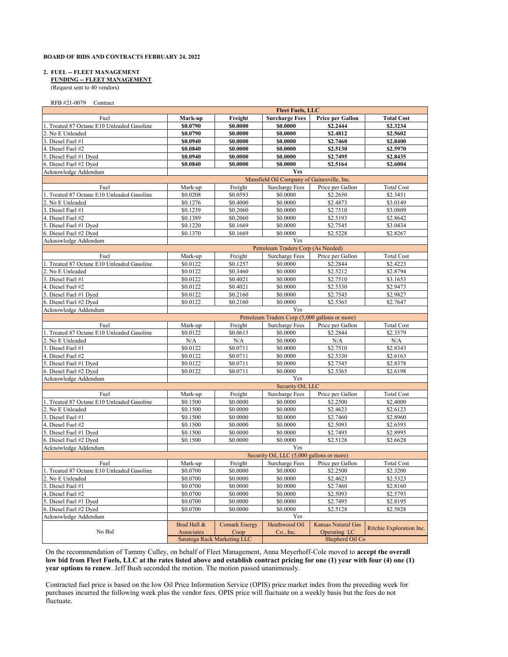#### **BOARD OF BIDS AND CONTRACTS FEBRUARY 24, 2022**

#### **2. FUEL -- FLEET MANAGEMENT**

 **FUNDING -- FLEET MANAGEMENT**

(Request sent to 40 vendors)

RFB #21-0079 Contract

|                                            | <b>Fleet Fuels, LLC</b>     |                      |                                                |                    |                          |
|--------------------------------------------|-----------------------------|----------------------|------------------------------------------------|--------------------|--------------------------|
| Fuel                                       | Mark-up                     | Freight              | <b>Surcharge Fees</b>                          | Price per Gallon   | <b>Total Cost</b>        |
| 1. Treated 87 Octane E10 Unleaded Gasoline | \$0.0790                    | \$0.0000             | \$0.0000                                       | \$2.2444           | \$2.3234                 |
| 2. No E Unleaded                           | \$0.0790                    | \$0.0000             | \$0.0000                                       | \$2.4812           | \$2.5602                 |
| 3. Diesel Fuel #1                          | \$0.0940                    | \$0.0000             | \$0.0000                                       | \$2.7460           | \$2.8400                 |
| 4. Diesel Fuel #2                          | \$0.0840                    | \$0.0000             | \$0.0000                                       | \$2.5130           | \$2.5970                 |
| 5. Diesel Fuel #1 Dyed                     | \$0.0940                    | \$0.0000             | \$0.0000                                       | \$2.7495           | \$2.8435                 |
| 6. Diesel Fuel #2 Dyed                     | \$0.0840                    | \$0.0000             | \$0.0000                                       | \$2.5164           | \$2.6004                 |
| Acknowledge Addendum                       |                             |                      | Yes                                            |                    |                          |
|                                            |                             |                      | Mansfield Oil Company of Gainesville, Inc.     |                    |                          |
| Fuel                                       | Mark-up                     | Freight              | <b>Surcharge Fees</b>                          | Price per Gallon   | <b>Total Cost</b>        |
| 1. Treated 87 Octane E10 Unleaded Gasoline | \$0.0208                    | \$0.0593             | \$0.0000                                       | \$2.2650           | \$2.3451                 |
| 2. No E Unleaded                           | \$0.1276                    | \$0.4000             | \$0.0000                                       | \$2.4873           | \$3.0149                 |
| 3. Diesel Fuel #1                          | \$0.1239                    | \$0.2060             | \$0.0000                                       | \$2.7510           | \$3.0809                 |
| 4. Diesel Fuel #2                          | $\overline{50.1389}$        | \$0.2060             | \$0.0000                                       | \$2.5193           | \$2.8642                 |
| 5. Diesel Fuel #1 Dyed                     | \$0.1220                    | \$0.1669             | \$0.0000                                       | \$2.7545           | \$3.0434                 |
| 6. Diesel Fuel #2 Dyed                     | \$0.1370                    | \$0.1669             | \$0.0000                                       | \$2.5228           | \$2.8267                 |
| Acknowledge Addendum                       |                             |                      | Yes                                            |                    |                          |
|                                            |                             |                      | Petroleum Traders Corp (As Needed)             |                    |                          |
| Fuel                                       | Mark-up                     | Freight              | <b>Surcharge Fees</b>                          | Price per Gallon   | <b>Total Cost</b>        |
| 1. Treated 87 Octane E10 Unleaded Gasoline | \$0.0122                    | \$0.1257             | \$0.0000                                       | \$2.2844           | \$2.4223                 |
| 2. No E Unleaded                           | \$0.0122                    | \$0.3460             | \$0.0000                                       | \$2.5212           | \$2.8794                 |
| 3. Diesel Fuel #1                          | \$0.0122                    | \$0.4021             | \$0.0000                                       | \$2.7510           | \$3.1653                 |
| 4. Diesel Fuel #2                          | \$0.0122                    | \$0.4021             | \$0.0000                                       | \$2.5330           | \$2.9473                 |
| 5. Diesel Fuel #1 Dyed                     | \$0.0122                    | \$0.2160             | \$0.0000                                       | \$2.7545           | \$2.9827                 |
| 6. Diesel Fuel #2 Dyed                     | \$0.0122                    | \$0.2160             | \$0.0000                                       | \$2.5365           | \$2.7647                 |
| Acknowledge Addendum                       |                             |                      | Yes                                            |                    |                          |
|                                            |                             |                      | Petroleum Traders Corp (5,000 gallons or more) |                    |                          |
| Fuel                                       | Mark-up                     | Freight              | <b>Surcharge Fees</b>                          | Price per Gallon   | <b>Total Cost</b>        |
| 1. Treated 87 Octane E10 Unleaded Gasoline | \$0.0122                    | \$0.0613             | \$0.0000                                       | \$2.2844           | \$2.3579                 |
| 2. No E Unleaded                           | N/A                         | N/A                  | \$0.0000                                       | N/A                | N/A                      |
| 3. Diesel Fuel #1                          | \$0.0122                    | \$0.0711             | \$0.0000                                       | \$2.7510           | \$2.8343                 |
| 4. Diesel Fuel #2                          | \$0.0122                    | \$0.0711             | \$0.0000                                       | \$2.5330           | \$2.6163                 |
| 5. Diesel Fuel #1 Dyed                     | \$0.0122                    | \$0.0711             | \$0.0000                                       | \$2.7545           | \$2.8378                 |
| 6. Diesel Fuel #2 Dyed                     | \$0.0122                    | \$0.0711             | \$0.0000                                       | \$2.5365           | \$2.6198                 |
| Acknowledge Addendum                       |                             |                      | Yes                                            |                    |                          |
|                                            |                             |                      | Security Oil, LLC                              |                    |                          |
| Fuel                                       | Mark-up                     | Freight              | <b>Surcharge Fees</b>                          | Price per Gallon   | <b>Total Cost</b>        |
| 1. Treated 87 Octane E10 Unleaded Gasoline | \$0.1500                    | \$0.0000             | \$0.0000                                       | \$2.2500           | \$2.4000                 |
| 2. No E Unleaded                           | \$0.1500                    | \$0.0000             | \$0.0000                                       | \$2.4623           | \$2.6123                 |
| 3. Diesel Fuel #1                          | \$0.1500                    | \$0.0000             | \$0.0000                                       | \$2.7460           | \$2.8960                 |
| 4. Diesel Fuel #2                          | \$0.1500                    | \$0.0000             | \$0.0000                                       | \$2.5093           | \$2.6593                 |
| 5. Diesel Fuel #1 Dyed                     | \$0.1500                    | \$0.0000             | \$0.0000                                       | \$2.7495           | \$2.8995                 |
| 6. Diesel Fuel #2 Dyed                     | \$0.1500                    | \$0.0000             | \$0.0000                                       | \$2.5128           | \$2.6628                 |
| Acknowledge Addendum                       |                             |                      | Yes                                            |                    |                          |
|                                            |                             |                      | Security Oil, LLC (5,000 gallons or more)      |                    |                          |
| Fuel                                       | Mark-up                     | Freight              | <b>Surcharge Fees</b>                          | Price per Gallon   | <b>Total Cost</b>        |
| 1. Treated 87 Octane E10 Unleaded Gasoline | \$0.0700                    | \$0.0000             | \$0.0000                                       | \$2.2500           | \$2.3200                 |
| 2. No E Unleaded                           | \$0.0700                    | \$0.0000             | \$0.0000                                       | \$2.4623           | \$2.5323                 |
| 3. Diesel Fuel #1                          | \$0.0700                    | \$0.0000             | \$0.0000                                       | \$2.7460           | \$2.8160                 |
| 4. Diesel Fuel #2                          | \$0.0700                    | \$0.0000             | \$0.0000                                       | \$2.5093           | \$2.5793                 |
| 5. Diesel Fuel #1 Dyed                     | \$0.0700                    | \$0.0000             | \$0.0000                                       | \$2.7495           | \$2.8195                 |
| 6. Diesel Fuel #2 Dyed                     | \$0.0700                    | \$0.0000             | \$0.0000                                       | \$2.5128           | \$2.5828                 |
| Acknowledge Addendum                       |                             |                      | Yes                                            |                    |                          |
|                                            | Brad Hall &                 | <b>Comark Energy</b> | Heathwood Oil                                  | Kansas Natural Gas | Ritchie Exploration Inc. |
| No Bid                                     | Associates                  | Coop                 | Co., Inc.                                      | Operating LC       |                          |
|                                            | Saratoga Rack Marketing LLC |                      | Shepherd Oil Co                                |                    |                          |

On the recommendation of Tammy Culley, on behalf of Fleet Management, Anna Meyerhoff-Cole moved to **accept the overall low bid from Fleet Fuels, LLC at the rates listed above and establish contract pricing for one (1) year with four (4) one (1) year options to renew**. Jeff Bush seconded the motion. The motion passed unanimously.

Contracted fuel price is based on the low Oil Price Information Service (OPIS) price market index from the preceding week for purchases incurred the following week plus the vendor fees. OPIS price will fluctuate on a weekly basis but the fees do not fluctuate.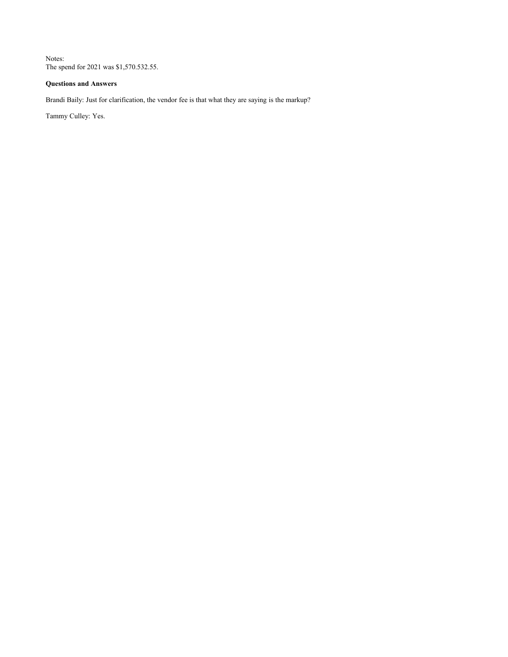Notes: The spend for 2021 was \$1,570.532.55.

### **Questions and Answers**

Brandi Baily: Just for clarification, the vendor fee is that what they are saying is the markup?

Tammy Culley: Yes.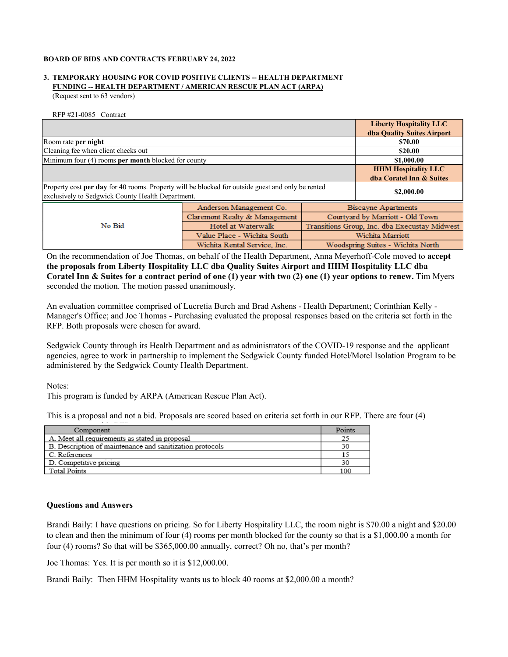#### **BOARD OF BIDS AND CONTRACTS FEBRUARY 24, 2022**

# **3. TEMPORARY HOUSING FOR COVID POSITIVE CLIENTS -- HEALTH DEPARTMENT FUNDING -- HEALTH DEPARTMENT / AMERICAN RESCUE PLAN ACT (ARPA)**

(Request sent to 63 vendors)

RFP #21-0085 Contract

|                                                                                                   |                               | <b>Liberty Hospitality LLC</b>                |                            |
|---------------------------------------------------------------------------------------------------|-------------------------------|-----------------------------------------------|----------------------------|
|                                                                                                   |                               |                                               | dba Quality Suites Airport |
| Room rate per night                                                                               |                               |                                               | \$70.00                    |
| Cleaning fee when client checks out                                                               |                               | \$20.00                                       |                            |
| Minimum four (4) rooms per month blocked for county                                               |                               |                                               | \$1,000.00                 |
|                                                                                                   |                               | <b>HHM Hospitality LLC</b>                    |                            |
|                                                                                                   |                               |                                               | dba Coratel Inn & Suites   |
| Property cost per day for 40 rooms. Property will be blocked for outside guest and only be rented | \$2,000.00                    |                                               |                            |
| exclusively to Sedgwick County Health Department.                                                 |                               |                                               |                            |
| No Bid                                                                                            | Anderson Management Co.       | Biscayne Apartments                           |                            |
|                                                                                                   | Claremont Realty & Management | Courtyard by Marriott - Old Town              |                            |
|                                                                                                   | Hotel at Waterwalk            | Transitions Group, Inc. dba Execustay Midwest |                            |
|                                                                                                   | Value Place - Wichita South   | Wichita Marriott                              |                            |
|                                                                                                   | Wichita Rental Service, Inc.  | Woodspring Suites - Wichita North             |                            |

On the recommendation of Joe Thomas, on behalf of the Health Department, Anna Meyerhoff-Cole moved to **accept the proposals from Liberty Hospitality LLC dba Quality Suites Airport and HHM Hospitality LLC dba Coratel Inn & Suites for a contract period of one (1) year with two (2) one (1) year options to renew.** Tim Myers seconded the motion. The motion passed unanimously.

An evaluation committee comprised of Lucretia Burch and Brad Ashens - Health Department; Corinthian Kelly - Manager's Office; and Joe Thomas - Purchasing evaluated the proposal responses based on the criteria set forth in the RFP. Both proposals were chosen for award.

Sedgwick County through its Health Department and as administrators of the COVID-19 response and the applicant agencies, agree to work in partnership to implement the Sedgwick County funded Hotel/Motel Isolation Program to be administered by the Sedgwick County Health Department.

Notes:

This program is funded by ARPA (American Rescue Plan Act).

This is a proposal and not a bid. Proposals are scored based on criteria set forth in our RFP. There are four (4)

| Component                                                | Points |
|----------------------------------------------------------|--------|
| A. Meet all requirements as stated in proposal           |        |
| B. Description of maintenance and sanitization protocols | 30     |
| C. References                                            |        |
| D. Competitive pricing                                   |        |
| Total Points                                             | 100    |

### **Questions and Answers**

Brandi Baily: I have questions on pricing. So for Liberty Hospitality LLC, the room night is \$70.00 a night and \$20.00 to clean and then the minimum of four (4) rooms per month blocked for the county so that is a \$1,000.00 a month for four (4) rooms? So that will be \$365,000.00 annually, correct? Oh no, that's per month?

Joe Thomas: Yes. It is per month so it is \$12,000.00.

Brandi Baily: Then HHM Hospitality wants us to block 40 rooms at \$2,000.00 a month?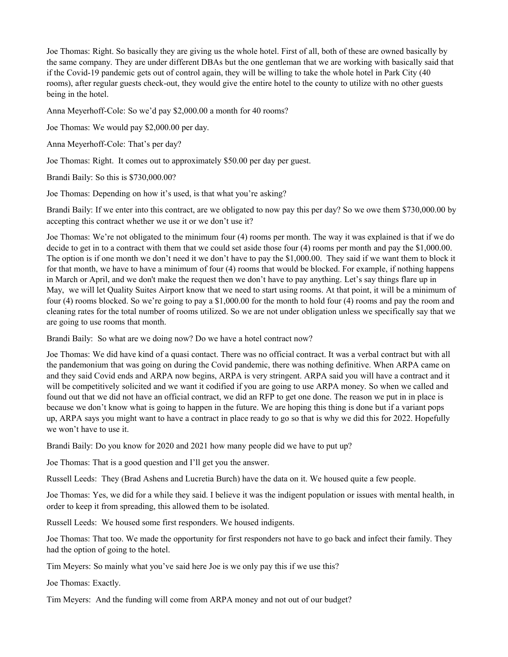Joe Thomas: Right. So basically they are giving us the whole hotel. First of all, both of these are owned basically by the same company. They are under different DBAs but the one gentleman that we are working with basically said that if the Covid-19 pandemic gets out of control again, they will be willing to take the whole hotel in Park City (40 rooms), after regular guests check-out, they would give the entire hotel to the county to utilize with no other guests being in the hotel.

Anna Meyerhoff-Cole: So we'd pay \$2,000.00 a month for 40 rooms?

Joe Thomas: We would pay \$2,000.00 per day.

Anna Meyerhoff-Cole: That's per day?

Joe Thomas: Right. It comes out to approximately \$50.00 per day per guest.

Brandi Baily: So this is \$730,000.00?

Joe Thomas: Depending on how it's used, is that what you're asking?

Brandi Baily: If we enter into this contract, are we obligated to now pay this per day? So we owe them \$730,000.00 by accepting this contract whether we use it or we don't use it?

Joe Thomas: We're not obligated to the minimum four (4) rooms per month. The way it was explained is that if we do decide to get in to a contract with them that we could set aside those four (4) rooms per month and pay the \$1,000.00. The option is if one month we don't need it we don't have to pay the \$1,000.00. They said if we want them to block it for that month, we have to have a minimum of four (4) rooms that would be blocked. For example, if nothing happens in March or April, and we don't make the request then we don't have to pay anything. Let's say things flare up in May, we will let Quality Suites Airport know that we need to start using rooms. At that point, it will be a minimum of four (4) rooms blocked. So we're going to pay a \$1,000.00 for the month to hold four (4) rooms and pay the room and cleaning rates for the total number of rooms utilized. So we are not under obligation unless we specifically say that we are going to use rooms that month.

Brandi Baily: So what are we doing now? Do we have a hotel contract now?

Joe Thomas: We did have kind of a quasi contact. There was no official contract. It was a verbal contract but with all the pandemonium that was going on during the Covid pandemic, there was nothing definitive. When ARPA came on and they said Covid ends and ARPA now begins, ARPA is very stringent. ARPA said you will have a contract and it will be competitively solicited and we want it codified if you are going to use ARPA money. So when we called and found out that we did not have an official contract, we did an RFP to get one done. The reason we put in in place is because we don't know what is going to happen in the future. We are hoping this thing is done but if a variant pops up, ARPA says you might want to have a contract in place ready to go so that is why we did this for 2022. Hopefully we won't have to use it.

Brandi Baily: Do you know for 2020 and 2021 how many people did we have to put up?

Joe Thomas: That is a good question and I'll get you the answer.

Russell Leeds: They (Brad Ashens and Lucretia Burch) have the data on it. We housed quite a few people.

Joe Thomas: Yes, we did for a while they said. I believe it was the indigent population or issues with mental health, in order to keep it from spreading, this allowed them to be isolated.

Russell Leeds: We housed some first responders. We housed indigents.

Joe Thomas: That too. We made the opportunity for first responders not have to go back and infect their family. They had the option of going to the hotel.

Tim Meyers: So mainly what you've said here Joe is we only pay this if we use this?

Joe Thomas: Exactly.

Tim Meyers: And the funding will come from ARPA money and not out of our budget?